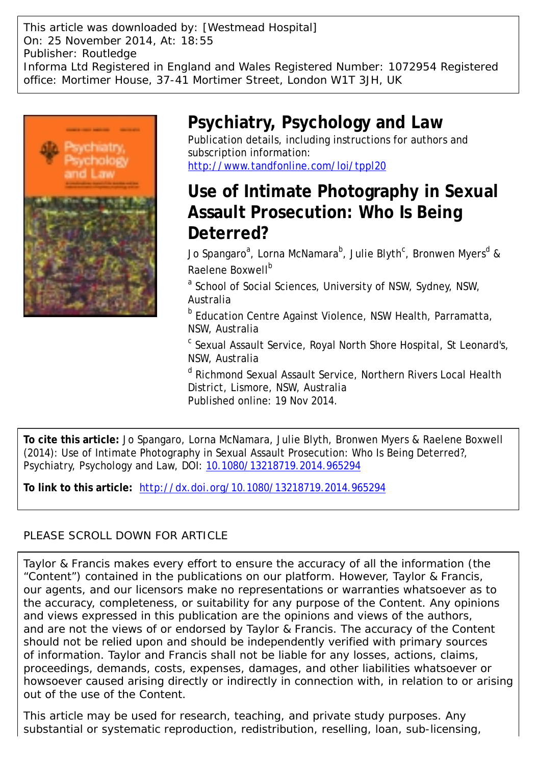This article was downloaded by: [Westmead Hospital] On: 25 November 2014, At: 18:55 Publisher: Routledge Informa Ltd Registered in England and Wales Registered Number: 1072954 Registered office: Mortimer House, 37-41 Mortimer Street, London W1T 3JH, UK



# **Psychiatry, Psychology and Law**

Publication details, including instructions for authors and subscription information: <http://www.tandfonline.com/loi/tppl20>

# **Use of Intimate Photography in Sexual Assault Prosecution: Who Is Being Deterred?**

Jo Spangaro<sup>a</sup>, Lorna McNamara<sup>b</sup>, Julie Blyth<sup>c</sup>, Bronwen Myers<sup>d</sup> & Raelene Boxwell<sup>b</sup>

<sup>a</sup> School of Social Sciences, University of NSW, Sydney, NSW, Australia

**b** Education Centre Against Violence, NSW Health, Parramatta, NSW, Australia

<sup>c</sup> Sexual Assault Service, Royal North Shore Hospital, St Leonard's, NSW, Australia

<sup>d</sup> Richmond Sexual Assault Service, Northern Rivers Local Health District, Lismore, NSW, Australia Published online: 19 Nov 2014.

**To cite this article:** Jo Spangaro, Lorna McNamara, Julie Blyth, Bronwen Myers & Raelene Boxwell (2014): Use of Intimate Photography in Sexual Assault Prosecution: Who Is Being Deterred?, Psychiatry, Psychology and Law, DOI: [10.1080/13218719.2014.965294](http://www.tandfonline.com/action/showCitFormats?doi=10.1080/13218719.2014.965294)

**To link to this article:** <http://dx.doi.org/10.1080/13218719.2014.965294>

# PLEASE SCROLL DOWN FOR ARTICLE

Taylor & Francis makes every effort to ensure the accuracy of all the information (the "Content") contained in the publications on our platform. However, Taylor & Francis, our agents, and our licensors make no representations or warranties whatsoever as to the accuracy, completeness, or suitability for any purpose of the Content. Any opinions and views expressed in this publication are the opinions and views of the authors, and are not the views of or endorsed by Taylor & Francis. The accuracy of the Content should not be relied upon and should be independently verified with primary sources of information. Taylor and Francis shall not be liable for any losses, actions, claims, proceedings, demands, costs, expenses, damages, and other liabilities whatsoever or howsoever caused arising directly or indirectly in connection with, in relation to or arising out of the use of the Content.

This article may be used for research, teaching, and private study purposes. Any substantial or systematic reproduction, redistribution, reselling, loan, sub-licensing,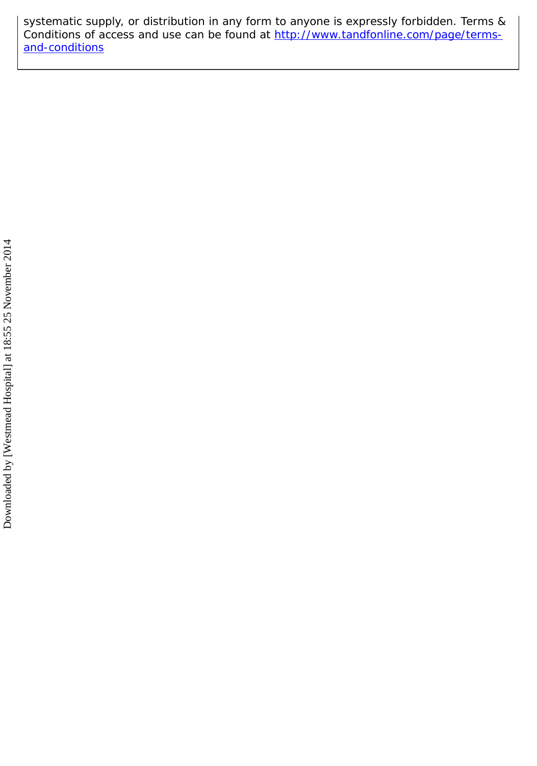systematic supply, or distribution in any form to anyone is expressly forbidden. Terms & Conditions of access and use can be found at [http://www.tandfonline.com/page/terms](http://www.tandfonline.com/page/terms-and-conditions)[and-conditions](http://www.tandfonline.com/page/terms-and-conditions)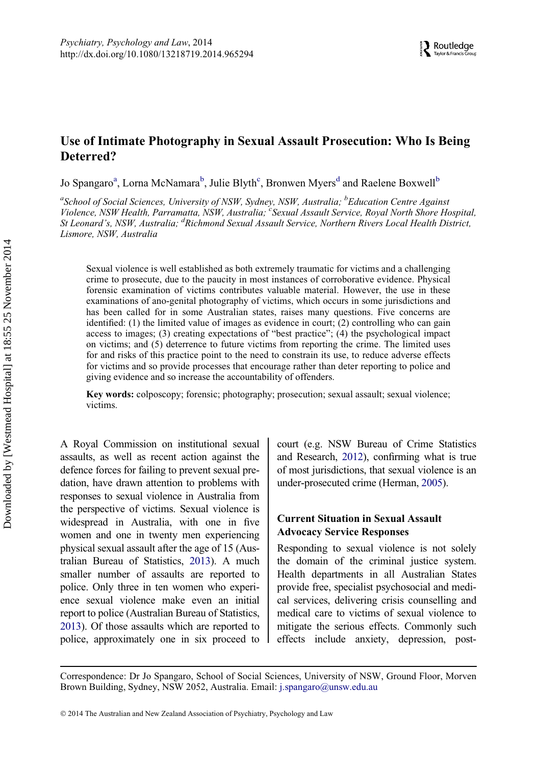# Use of Intimate Photography in Sexual Assault Prosecution: Who Is Being Deterred?

Jo Sp[a](#page-2-0)ngaro<sup>a</sup>, Lorna McNamara<sup>[b](#page-2-0)</sup>, Julie Blyth<sup>[c](#page-2-1)</sup>, Bronwen Myers<sup>[d](#page-2-2)</sup> and Raelene Boxwell<sup>b</sup>

<span id="page-2-2"></span><span id="page-2-1"></span><span id="page-2-0"></span><sup>a</sup>School of Social Sciences, University of NSW, Sydney, NSW, Australia; <sup>b</sup>Education Centre Against Violence, NSW Health, Parramatta, NSW, Australia; <sup>c</sup>Sexual Assault Service, Royal North Shore Hospital, St Leonard's, NSW, Australia; <sup>d</sup>Richmond Sexual Assault Service, Northern Rivers Local Health District, Lismore, NSW, Australia

Sexual violence is well established as both extremely traumatic for victims and a challenging crime to prosecute, due to the paucity in most instances of corroborative evidence. Physical forensic examination of victims contributes valuable material. However, the use in these examinations of ano-genital photography of victims, which occurs in some jurisdictions and has been called for in some Australian states, raises many questions. Five concerns are identified: (1) the limited value of images as evidence in court; (2) controlling who can gain access to images; (3) creating expectations of "best practice"; (4) the psychological impact on victims; and (5) deterrence to future victims from reporting the crime. The limited uses for and risks of this practice point to the need to constrain its use, to reduce adverse effects for victims and so provide processes that encourage rather than deter reporting to police and giving evidence and so increase the accountability of offenders.

Key words: colposcopy; forensic; photography; prosecution; sexual assault; sexual violence; victims.

A Royal Commission on institutional sexual assaults, as well as recent action against the defence forces for failing to prevent sexual predation, have drawn attention to problems with responses to sexual violence in Australia from the perspective of victims. Sexual violence is widespread in Australia, with one in five women and one in twenty men experiencing physical sexual assault after the age of 15 (Australian Bureau of Statistics, [2013\)](#page-6-0). A much smaller number of assaults are reported to police. Only three in ten women who experience sexual violence make even an initial report to police (Australian Bureau of Statistics, [2013\)](#page-6-0). Of those assaults which are reported to police, approximately one in six proceed to court (e.g. NSW Bureau of Crime Statistics and Research, [2012\)](#page-7-0), confirming what is true of most jurisdictions, that sexual violence is an under-prosecuted crime (Herman, [2005\)](#page-6-1).

# Current Situation in Sexual Assault Advocacy Service Responses

Responding to sexual violence is not solely the domain of the criminal justice system. Health departments in all Australian States provide free, specialist psychosocial and medical services, delivering crisis counselling and medical care to victims of sexual violence to mitigate the serious effects. Commonly such effects include anxiety, depression, post-

Correspondence: Dr Jo Spangaro, School of Social Sciences, University of NSW, Ground Floor, Morven Brown Building, Sydney, NSW 2052, Australia. Email: [j.spangaro@unsw.edu.au](mailto:j.spangaro@unsw.edu.au)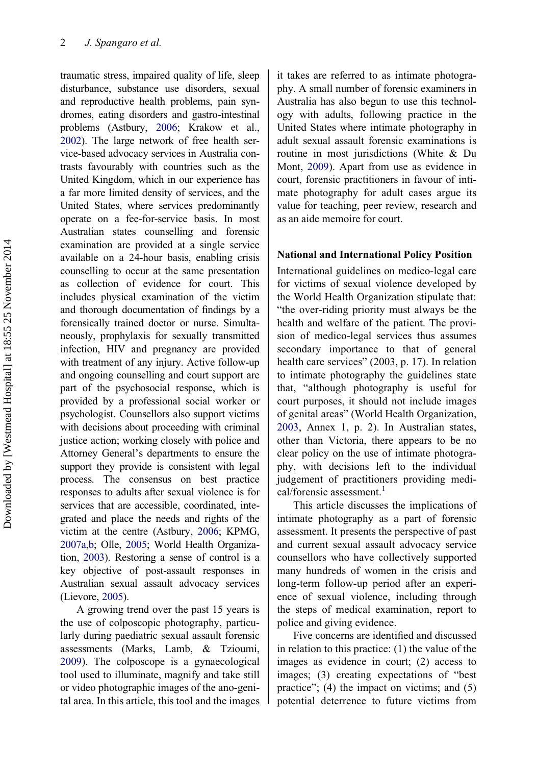traumatic stress, impaired quality of life, sleep disturbance, substance use disorders, sexual and reproductive health problems, pain syndromes, eating disorders and gastro-intestinal problems (Astbury, [2006;](#page-6-2) Krakow et al., [2002\)](#page-6-3). The large network of free health service-based advocacy services in Australia contrasts favourably with countries such as the United Kingdom, which in our experience has a far more limited density of services, and the United States, where services predominantly operate on a fee-for-service basis. In most Australian states counselling and forensic examination are provided at a single service available on a 24-hour basis, enabling crisis counselling to occur at the same presentation as collection of evidence for court. This includes physical examination of the victim and thorough documentation of findings by a forensically trained doctor or nurse. Simultaneously, prophylaxis for sexually transmitted infection, HIV and pregnancy are provided with treatment of any injury. Active follow-up and ongoing counselling and court support are part of the psychosocial response, which is provided by a professional social worker or psychologist. Counsellors also support victims with decisions about proceeding with criminal justice action; working closely with police and Attorney General's departments to ensure the support they provide is consistent with legal process. The consensus on best practice responses to adults after sexual violence is for services that are accessible, coordinated, integrated and place the needs and rights of the victim at the centre (Astbury, [2006;](#page-6-2) KPMG, [2007a](#page-6-4)[,b](#page-6-5); Olle, [2005;](#page-7-1) World Health Organization, [2003](#page-7-2)). Restoring a sense of control is a key objective of post-assault responses in Australian sexual assault advocacy services (Lievore, [2005](#page-7-3)).

A growing trend over the past 15 years is the use of colposcopic photography, particularly during paediatric sexual assault forensic assessments (Marks, Lamb, & Tzioumi, [2009](#page-7-4)). The colposcope is a gynaecological tool used to illuminate, magnify and take still or video photographic images of the ano-genital area. In this article, this tool and the images it takes are referred to as intimate photography. A small number of forensic examiners in Australia has also begun to use this technology with adults, following practice in the United States where intimate photography in adult sexual assault forensic examinations is routine in most jurisdictions (White & Du Mont, [2009](#page-7-5)). Apart from use as evidence in court, forensic practitioners in favour of intimate photography for adult cases argue its value for teaching, peer review, research and as an aide memoire for court.

#### National and International Policy Position

International guidelines on medico-legal care for victims of sexual violence developed by the World Health Organization stipulate that: "the over-riding priority must always be the health and welfare of the patient. The provision of medico-legal services thus assumes secondary importance to that of general health care services" (2003, p. 17). In relation to intimate photography the guidelines state that, "although photography is useful for court purposes, it should not include images of genital areas" (World Health Organization, [2003,](#page-7-2) Annex 1, p. 2). In Australian states, other than Victoria, there appears to be no clear policy on the use of intimate photography, with decisions left to the individual judgement of practitioners providing medi-cal/forensic assessment.<sup>[1](#page-6-6)</sup>

This article discusses the implications of intimate photography as a part of forensic assessment. It presents the perspective of past and current sexual assault advocacy service counsellors who have collectively supported many hundreds of women in the crisis and long-term follow-up period after an experience of sexual violence, including through the steps of medical examination, report to police and giving evidence.

Five concerns are identified and discussed in relation to this practice: (1) the value of the images as evidence in court; (2) access to images; (3) creating expectations of "best practice"; (4) the impact on victims; and (5) potential deterrence to future victims from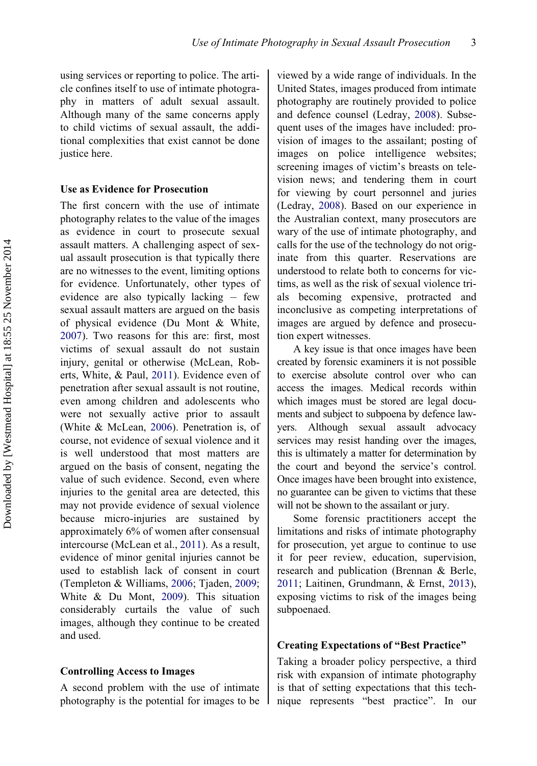using services or reporting to police. The article confines itself to use of intimate photography in matters of adult sexual assault. Although many of the same concerns apply to child victims of sexual assault, the additional complexities that exist cannot be done justice here.

#### Use as Evidence for Prosecution

The first concern with the use of intimate photography relates to the value of the images as evidence in court to prosecute sexual assault matters. A challenging aspect of sexual assault prosecution is that typically there are no witnesses to the event, limiting options for evidence. Unfortunately, other types of evidence are also typically lacking  $-$  few sexual assault matters are argued on the basis of physical evidence (Du Mont & White, [2007](#page-6-7)). Two reasons for this are: first, most victims of sexual assault do not sustain injury, genital or otherwise (McLean, Roberts, White, & Paul, [2011](#page-7-5)). Evidence even of penetration after sexual assault is not routine, even among children and adolescents who were not sexually active prior to assault (White & McLean, [2006](#page-7-4)). Penetration is, of course, not evidence of sexual violence and it is well understood that most matters are argued on the basis of consent, negating the value of such evidence. Second, even where injuries to the genital area are detected, this may not provide evidence of sexual violence because micro-injuries are sustained approximately 6% of women after consensual intercourse (McLean et al., [2011](#page-7-5)). As a result, evidence of minor genital injuries cannot be used to establish lack of consent in court (Templeton & Williams, [2006](#page-7-6); Tjaden, [2009;](#page-7-7) White & Du Mont, [2009](#page-7-5)). This situation considerably curtails the value of such images, although they continue to be created and used.

#### Controlling Access to Images

A second problem with the use of intimate photography is the potential for images to be viewed by a wide range of individuals. In the United States, images produced from intimate photography are routinely provided to police and defence counsel (Ledray, [2008\)](#page-7-8). Subsequent uses of the images have included: provision of images to the assailant; posting of images on police intelligence websites; screening images of victim's breasts on television news; and tendering them in court for viewing by court personnel and juries (Ledray, [2008\)](#page-7-8). Based on our experience in the Australian context, many prosecutors are wary of the use of intimate photography, and calls for the use of the technology do not originate from this quarter. Reservations are understood to relate both to concerns for victims, as well as the risk of sexual violence trials becoming expensive, protracted and inconclusive as competing interpretations of images are argued by defence and prosecution expert witnesses.

A key issue is that once images have been created by forensic examiners it is not possible to exercise absolute control over who can access the images. Medical records within which images must be stored are legal documents and subject to subpoena by defence lawyers. Although sexual assault advocacy services may resist handing over the images, this is ultimately a matter for determination by the court and beyond the service's control. Once images have been brought into existence, no guarantee can be given to victims that these will not be shown to the assailant or jury.

Some forensic practitioners accept the limitations and risks of intimate photography for prosecution, yet argue to continue to use it for peer review, education, supervision, research and publication (Brennan & Berle, [2011;](#page-6-8) Laitinen, Grundmann, & Ernst, [2013](#page-7-9)), exposing victims to risk of the images being subpoenaed.

## Creating Expectations of "Best Practice"

Taking a broader policy perspective, a third risk with expansion of intimate photography is that of setting expectations that this technique represents "best practice". In our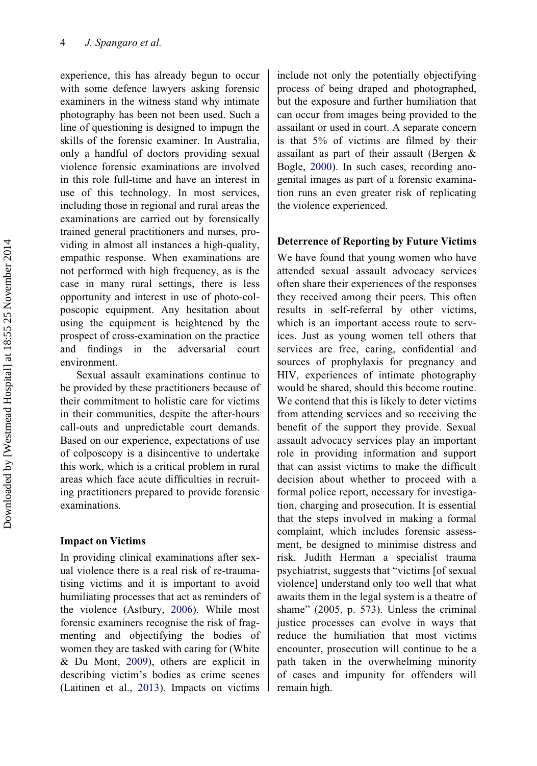experience, this has already begun to occur with some defence lawyers asking forensic examiners in the witness stand why intimate photography has been not been used. Such a line of questioning is designed to impugn the skills of the forensic examiner. In Australia, only a handful of doctors providing sexual violence forensic examinations are involved in this role full-time and have an interest in use of this technology. In most services, including those in regional and rural areas the examinations are carried out by forensically trained general practitioners and nurses, providing in almost all instances a high-quality, empathic response. When examinations are not performed with high frequency, as is the case in many rural settings, there is less opportunity and interest in use of photo-colposcopic equipment. Any hesitation about using the equipment is heightened by the prospect of cross-examination on the practice and findings in the adversarial court environment.

Sexual assault examinations continue to be provided by these practitioners because of their commitment to holistic care for victims in their communities, despite the after-hours call-outs and unpredictable court demands. Based on our experience, expectations of use of colposcopy is a disincentive to undertake this work, which is a critical problem in rural areas which face acute difficulties in recruiting practitioners prepared to provide forensic examinations.

#### Impact on Victims

In providing clinical examinations after sexual violence there is a real risk of re-traumatising victims and it is important to avoid humiliating processes that act as reminders of the violence (Astbury, [2006](#page-6-2)). While most forensic examiners recognise the risk of fragmenting and objectifying the bodies of women they are tasked with caring for (White & Du Mont, [2009](#page-7-5)), others are explicit in describing victim's bodies as crime scenes (Laitinen et al., [2013\)](#page-7-9). Impacts on victims include not only the potentially objectifying process of being draped and photographed, but the exposure and further humiliation that can occur from images being provided to the assailant or used in court. A separate concern is that 5% of victims are filmed by their assailant as part of their assault (Bergen & Bogle, [2000](#page-6-9)). In such cases, recording anogenital images as part of a forensic examination runs an even greater risk of replicating the violence experienced.

### Deterrence of Reporting by Future Victims

We have found that young women who have attended sexual assault advocacy services often share their experiences of the responses they received among their peers. This often results in self-referral by other victims, which is an important access route to services. Just as young women tell others that services are free, caring, confidential and sources of prophylaxis for pregnancy and HIV, experiences of intimate photography would be shared, should this become routine. We contend that this is likely to deter victims from attending services and so receiving the benefit of the support they provide. Sexual assault advocacy services play an important role in providing information and support that can assist victims to make the difficult decision about whether to proceed with a formal police report, necessary for investigation, charging and prosecution. It is essential that the steps involved in making a formal complaint, which includes forensic assessment, be designed to minimise distress and risk. Judith Herman a specialist trauma psychiatrist, suggests that "victims [of sexual violence] understand only too well that what awaits them in the legal system is a theatre of shame" (2005, p. 573). Unless the criminal justice processes can evolve in ways that reduce the humiliation that most victims encounter, prosecution will continue to be a path taken in the overwhelming minority of cases and impunity for offenders will remain high.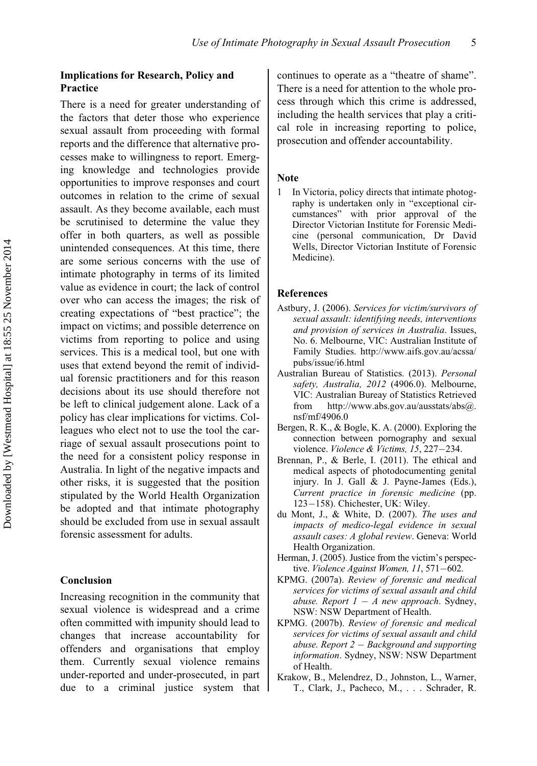# Implications for Research, Policy and **Practice**

<span id="page-6-6"></span><span id="page-6-2"></span>There is a need for greater understanding of the factors that deter those who experience sexual assault from proceeding with formal reports and the difference that alternative processes make to willingness to report. Emerging knowledge and technologies provide opportunities to improve responses and court outcomes in relation to the crime of sexual assault. As they become available, each must be scrutinised to determine the value they offer in both quarters, as well as possible unintended consequences. At this time, there are some serious concerns with the use of intimate photography in terms of its limited value as evidence in court; the lack of control over who can access the images; the risk of creating expectations of "best practice"; the impact on victims; and possible deterrence on victims from reporting to police and using services. This is a medical tool, but one with uses that extend beyond the remit of individual forensic practitioners and for this reason decisions about its use should therefore not be left to clinical judgement alone. Lack of a policy has clear implications for victims. Colleagues who elect not to use the tool the carriage of sexual assault prosecutions point to the need for a consistent policy response in Australia. In light of the negative impacts and other risks, it is suggested that the position stipulated by the World Health Organization be adopted and that intimate photography should be excluded from use in sexual assault forensic assessment for adults.

## <span id="page-6-9"></span><span id="page-6-8"></span><span id="page-6-7"></span><span id="page-6-4"></span><span id="page-6-1"></span><span id="page-6-0"></span>Conclusion

<span id="page-6-5"></span><span id="page-6-3"></span>Increasing recognition in the community that sexual violence is widespread and a crime often committed with impunity should lead to changes that increase accountability for offenders and organisations that employ them. Currently sexual violence remains under-reported and under-prosecuted, in part due to a criminal justice system that continues to operate as a "theatre of shame". There is a need for attention to the whole process through which this crime is addressed, including the health services that play a critical role in increasing reporting to police, prosecution and offender accountability.

## Note

1 In Victoria, policy directs that intimate photography is undertaken only in "exceptional circumstances" with prior approval of the Director Victorian Institute for Forensic Medicine (personal communication, Dr David Wells, Director Victorian Institute of Forensic Medicine).

#### References

- Astbury, J. (2006). Services for victim/survivors of sexual assault: identifying needs, interventions and provision of services in Australia. Issues, No. 6. Melbourne, VIC: Australian Institute of Family Studies. [http://www.aifs.gov.au/acssa/](http://www.aifs.gov.au/acssa/pubs/issue/i6.html) [pubs/issue/i6.html](http://www.aifs.gov.au/acssa/pubs/issue/i6.html)
- Australian Bureau of Statistics. (2013). Personal safety, Australia, 2012 (4906.0). Melbourne, VIC: Australian Bureay of Statistics Retrieved from [http://www.abs.gov.au/ausstats/abs@.](http://www.abs.gov.au/ausstats/abs@.nsf/mf/4906.0) [nsf/mf/4906.0](http://www.abs.gov.au/ausstats/abs@.nsf/mf/4906.0)
- Bergen, R. K., & Bogle, K. A. (2000). Exploring the connection between pornography and sexual violence. Violence & Victims, 15, 227-234.
- Brennan, P., & Berle, I. (2011). The ethical and medical aspects of photodocumenting genital injury. In J. Gall & J. Payne-James (Eds.), Current practice in forensic medicine (pp. 123-158). Chichester, UK: Wiley.
- du Mont, J., & White, D. (2007). The uses and impacts of medico-legal evidence in sexual assault cases: A global review. Geneva: World Health Organization.
- Herman, J. (2005). Justice from the victim's perspective. Violence Against Women,  $11, 571-602$ .
- KPMG. (2007a). Review of forensic and medical services for victims of sexual assault and child abuse. Report  $1 - A$  new approach. Sydney, NSW: NSW Department of Health.
- KPMG. (2007b). Review of forensic and medical services for victims of sexual assault and child abuse. Report  $2 - Background$  and supporting information. Sydney, NSW: NSW Department of Health.
- Krakow, B., Melendrez, D., Johnston, L., Warner, T., Clark, J., Pacheco, M., . . . Schrader, R.